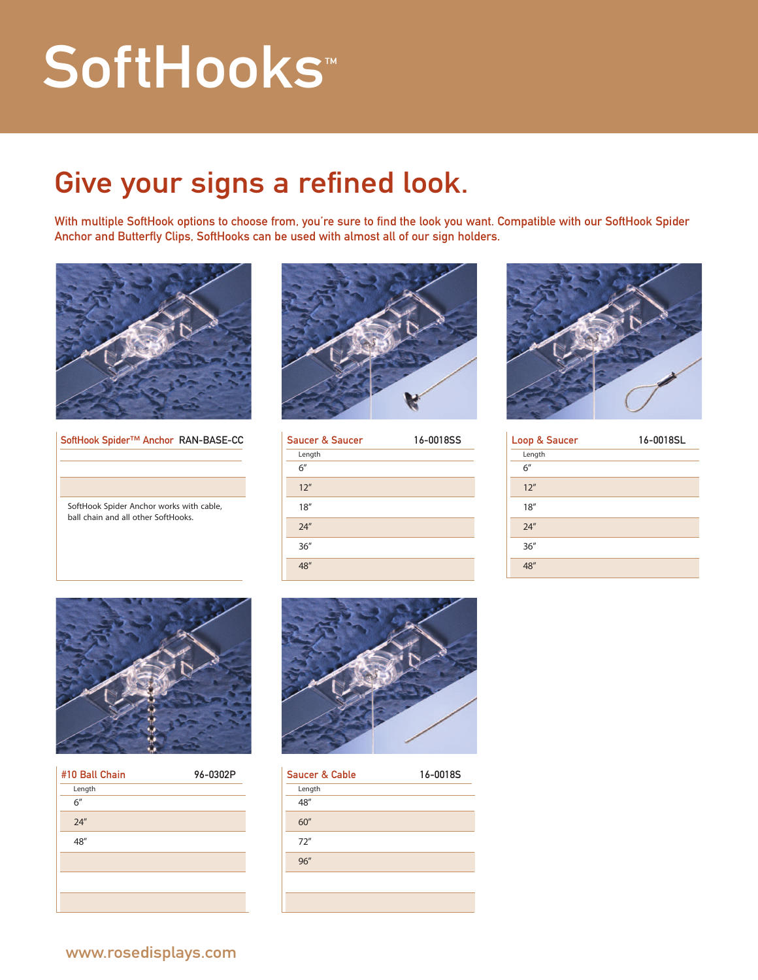## SoftHooks<sup>™</sup>

## Give your signs a refined look.

With multiple SoftHook options to choose from, you're sure to find the look you want. Compatible with our SoftHook Spider Anchor and Butterfly Clips, SoftHooks can be used with almost all of our sign holders.



SoftHook Spider™ Anchor RAN-BASE-CC

SoftHook Spider Anchor works with cable, ball chain and all other SoftHooks.



| <b>Saucer &amp; Saucer</b> | 16-0018SS |
|----------------------------|-----------|
| Length                     |           |
| 6''                        |           |
| 12''                       |           |
| 18''                       |           |
| 24''                       |           |
| 36''                       |           |
| 48"                        |           |



| Loop & Saucer | 16-0018SL |
|---------------|-----------|
| Length        |           |
| 6''           |           |
| 12''          |           |
| 18''          |           |
| 24''          |           |
| 36''          |           |
|               |           |



| #10 Ball Chain | 96-0302P |
|----------------|----------|
| Length         |          |
| 6''            |          |
| 24''           |          |
| 48"            |          |
|                |          |
|                |          |
|                |          |



| Saucer & Cable | 16-0018S |
|----------------|----------|
| Length         |          |
| 48"            |          |
| 60''           |          |
| 72''           |          |
| 96''           |          |
|                |          |
|                |          |
|                |          |